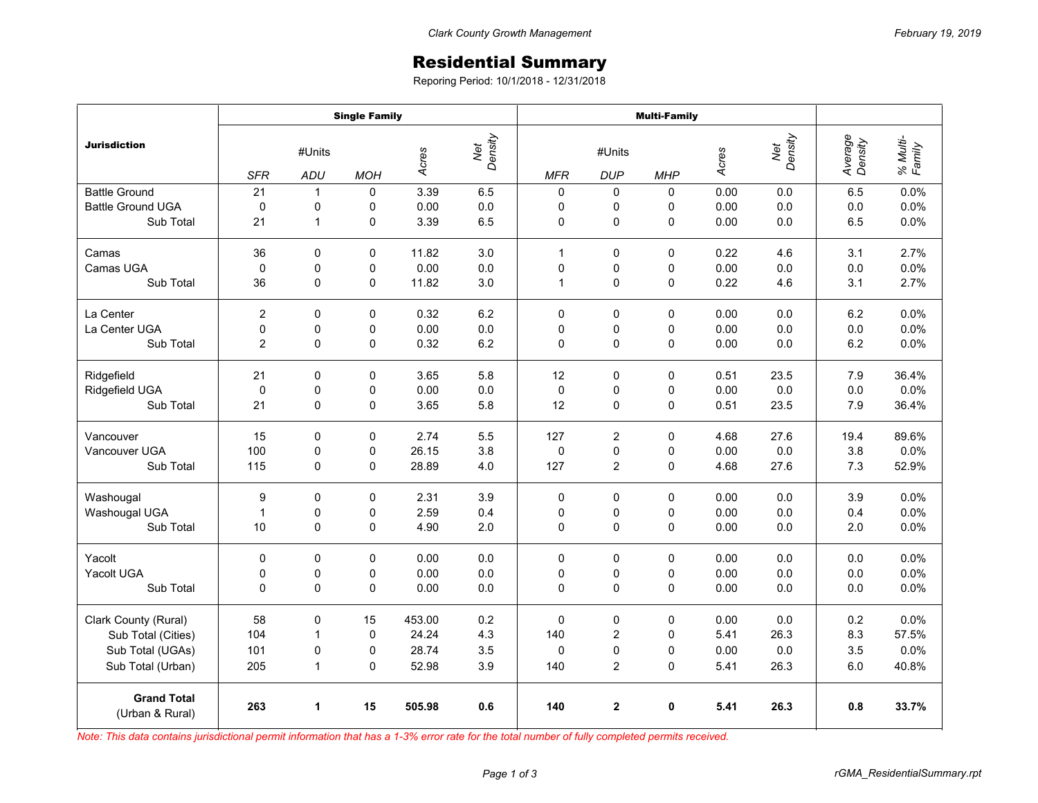## Residential Summary

Reporing Period: 10/1/2018 - 12/31/2018

|                                       | <b>Single Family</b> |              |             |        |                | <b>Multi-Family</b> |                |             |       |                |                    |                    |
|---------------------------------------|----------------------|--------------|-------------|--------|----------------|---------------------|----------------|-------------|-------|----------------|--------------------|--------------------|
| Jurisdiction                          | #Units               |              |             | Acres  | Net<br>Density | #Units              |                |             | Acres | Net<br>Density | Average<br>Density | % Multi-<br>Family |
|                                       | <b>SFR</b>           | ADU          | <b>MOH</b>  |        |                | <b>MFR</b>          | <b>DUP</b>     | <b>MHP</b>  |       |                |                    |                    |
| <b>Battle Ground</b>                  | 21                   | $\mathbf{1}$ | $\mathbf 0$ | 3.39   | 6.5            | $\pmb{0}$           | 0              | 0           | 0.00  | 0.0            | 6.5                | 0.0%               |
| <b>Battle Ground UGA</b>              | $\mathbf 0$          | 0            | 0           | 0.00   | 0.0            | $\mathbf 0$         | 0              | 0           | 0.00  | 0.0            | 0.0                | 0.0%               |
| Sub Total                             | 21                   | $\mathbf{1}$ | $\mathsf 0$ | 3.39   | 6.5            | 0                   | $\mathsf 0$    | 0           | 0.00  | 0.0            | 6.5                | 0.0%               |
| Camas                                 | 36                   | $\Omega$     | $\Omega$    | 11.82  | 3.0            | $\mathbf{1}$        | $\Omega$       | $\Omega$    | 0.22  | 4.6            | 3.1                | 2.7%               |
| Camas UGA                             | $\mathbf 0$          | 0            | 0           | 0.00   | 0.0            | 0                   | 0              | 0           | 0.00  | 0.0            | 0.0                | 0.0%               |
| Sub Total                             | 36                   | $\mathbf 0$  | 0           | 11.82  | 3.0            | 1                   | $\mathbf 0$    | 0           | 0.22  | 4.6            | 3.1                | 2.7%               |
| La Center                             | $\overline{2}$       | $\mathbf 0$  | $\mathbf 0$ | 0.32   | 6.2            | $\mathbf 0$         | $\mathbf 0$    | 0           | 0.00  | 0.0            | 6.2                | 0.0%               |
| La Center UGA                         | $\mathbf 0$          | 0            | 0           | 0.00   | 0.0            | 0                   | 0              | 0           | 0.00  | 0.0            | 0.0                | 0.0%               |
| Sub Total                             | $\overline{2}$       | 0            | $\mathbf 0$ | 0.32   | $6.2\,$        | $\mathbf 0$         | $\mathsf 0$    | $\mathbf 0$ | 0.00  | 0.0            | 6.2                | 0.0%               |
| Ridgefield                            | 21                   | 0            | 0           | 3.65   | 5.8            | 12                  | 0              | 0           | 0.51  | 23.5           | 7.9                | 36.4%              |
| Ridgefield UGA                        | $\mathbf 0$          | 0            | 0           | 0.00   | 0.0            | $\mathbf 0$         | 0              | 0           | 0.00  | 0.0            | 0.0                | 0.0%               |
| Sub Total                             | 21                   | $\pmb{0}$    | 0           | 3.65   | 5.8            | 12                  | 0              | 0           | 0.51  | 23.5           | 7.9                | 36.4%              |
| Vancouver                             | 15                   | $\mathbf 0$  | 0           | 2.74   | 5.5            | 127                 | $\overline{2}$ | 0           | 4.68  | 27.6           | 19.4               | 89.6%              |
| Vancouver UGA                         | 100                  | $\pmb{0}$    | 0           | 26.15  | 3.8            | $\mathbf 0$         | 0              | $\mathbf 0$ | 0.00  | 0.0            | 3.8                | 0.0%               |
| Sub Total                             | 115                  | $\mathbf 0$  | $\mathbf 0$ | 28.89  | 4.0            | 127                 | $\overline{c}$ | 0           | 4.68  | 27.6           | 7.3                | 52.9%              |
| Washougal                             | 9                    | $\mathbf 0$  | $\mathbf 0$ | 2.31   | 3.9            | $\mathbf 0$         | $\mathbf 0$    | 0           | 0.00  | 0.0            | 3.9                | 0.0%               |
| Washougal UGA                         | $\mathbf{1}$         | $\pmb{0}$    | $\mathsf 0$ | 2.59   | 0.4            | 0                   | 0              | 0           | 0.00  | 0.0            | 0.4                | 0.0%               |
| Sub Total                             | 10                   | 0            | 0           | 4.90   | 2.0            | 0                   | 0              | 0           | 0.00  | 0.0            | 2.0                | 0.0%               |
| Yacolt                                | 0                    | $\mathbf 0$  | 0           | 0.00   | 0.0            | $\Omega$            | $\mathbf 0$    | $\Omega$    | 0.00  | 0.0            | 0.0                | 0.0%               |
| Yacolt UGA                            | 0                    | 0            | 0           | 0.00   | 0.0            | 0                   | 0              | 0           | 0.00  | 0.0            | 0.0                | 0.0%               |
| Sub Total                             | 0                    | 0            | 0           | 0.00   | 0.0            | $\Omega$            | 0              | 0           | 0.00  | 0.0            | 0.0                | 0.0%               |
| Clark County (Rural)                  | 58                   | $\mathbf 0$  | 15          | 453.00 | 0.2            | $\mathbf 0$         | $\pmb{0}$      | $\Omega$    | 0.00  | 0.0            | 0.2                | 0.0%               |
| Sub Total (Cities)                    | 104                  | $\mathbf{1}$ | 0           | 24.24  | 4.3            | 140                 | $\mathbf 2$    | 0           | 5.41  | 26.3           | 8.3                | 57.5%              |
| Sub Total (UGAs)                      | 101                  | 0            | 0           | 28.74  | 3.5            | $\mathbf 0$         | 0              | $\Omega$    | 0.00  | 0.0            | 3.5                | 0.0%               |
| Sub Total (Urban)                     | 205                  | $\mathbf{1}$ | 0           | 52.98  | 3.9            | 140                 | $\overline{c}$ | 0           | 5.41  | 26.3           | 6.0                | 40.8%              |
| <b>Grand Total</b><br>(Urban & Rural) | 263                  | 1            | 15          | 505.98 | 0.6            | 140                 | $\mathbf 2$    | 0           | 5.41  | 26.3           | 0.8                | 33.7%              |

*Note: This data contains jurisdictional permit information that has a 1-3% error rate for the total number of fully completed permits received.*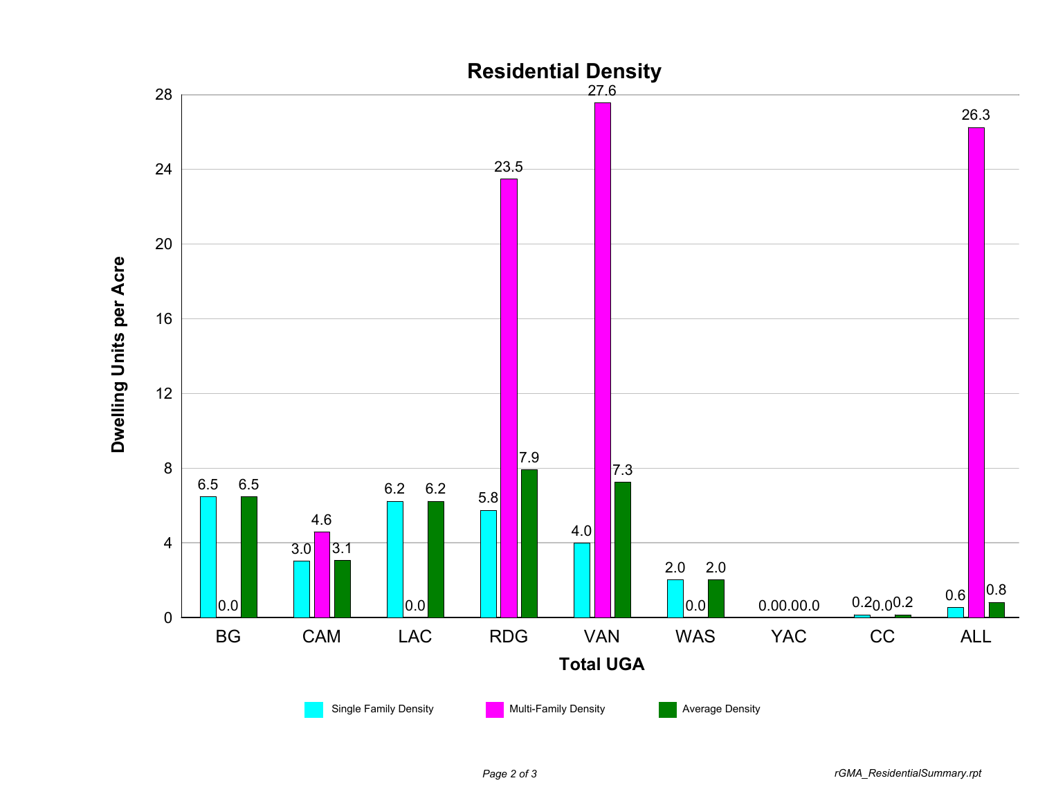